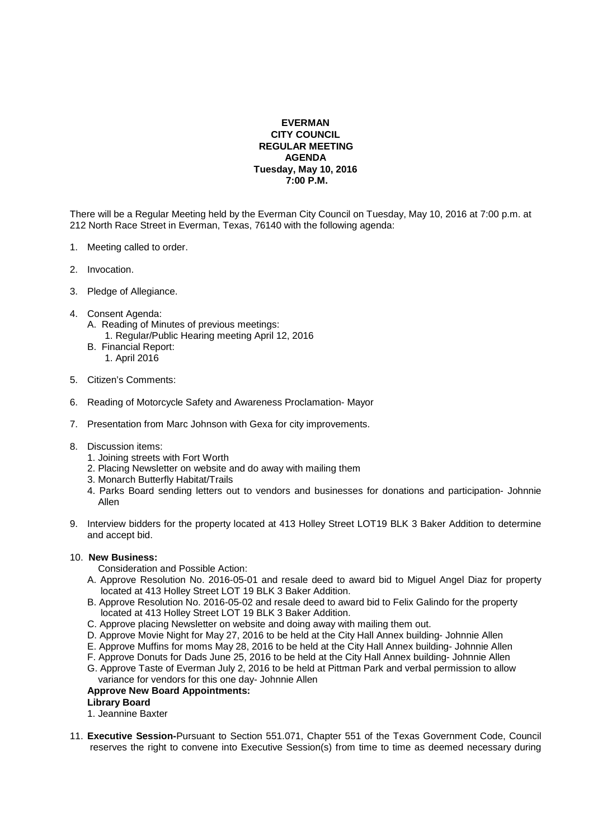# **EVERMAN CITY COUNCIL REGULAR MEETING AGENDA Tuesday, May 10, 2016 7:00 P.M.**

There will be a Regular Meeting held by the Everman City Council on Tuesday, May 10, 2016 at 7:00 p.m. at 212 North Race Street in Everman, Texas, 76140 with the following agenda:

- 1. Meeting called to order.
- 2. Invocation.
- 3. Pledge of Allegiance.
- 4. Consent Agenda: A. Reading of Minutes of previous meetings: 1. Regular/Public Hearing meeting April 12, 2016
	-
	- B. Financial Report: 1. April 2016
- 5. Citizen's Comments:
- 6. Reading of Motorcycle Safety and Awareness Proclamation- Mayor
- 7. Presentation from Marc Johnson with Gexa for city improvements.
- 8. Discussion items:
	- 1. Joining streets with Fort Worth
	- 2. Placing Newsletter on website and do away with mailing them
	- 3. Monarch Butterfly Habitat/Trails
	- 4. Parks Board sending letters out to vendors and businesses for donations and participation- Johnnie Allen
- 9. Interview bidders for the property located at 413 Holley Street LOT19 BLK 3 Baker Addition to determine and accept bid.

## 10. **New Business:**

- Consideration and Possible Action:
- A. Approve Resolution No. 2016-05-01 and resale deed to award bid to Miguel Angel Diaz for property located at 413 Holley Street LOT 19 BLK 3 Baker Addition.
- B. Approve Resolution No. 2016-05-02 and resale deed to award bid to Felix Galindo for the property located at 413 Holley Street LOT 19 BLK 3 Baker Addition.
- C. Approve placing Newsletter on website and doing away with mailing them out.
- D. Approve Movie Night for May 27, 2016 to be held at the City Hall Annex building- Johnnie Allen
- E. Approve Muffins for moms May 28, 2016 to be held at the City Hall Annex building- Johnnie Allen
- F. Approve Donuts for Dads June 25, 2016 to be held at the City Hall Annex building- Johnnie Allen
- G. Approve Taste of Everman July 2, 2016 to be held at Pittman Park and verbal permission to allow variance for vendors for this one day- Johnnie Allen

## **Approve New Board Appointments:**

## **Library Board**

1. Jeannine Baxter

11. **Executive Session-**Pursuant to Section 551.071, Chapter 551 of the Texas Government Code, Council reserves the right to convene into Executive Session(s) from time to time as deemed necessary during